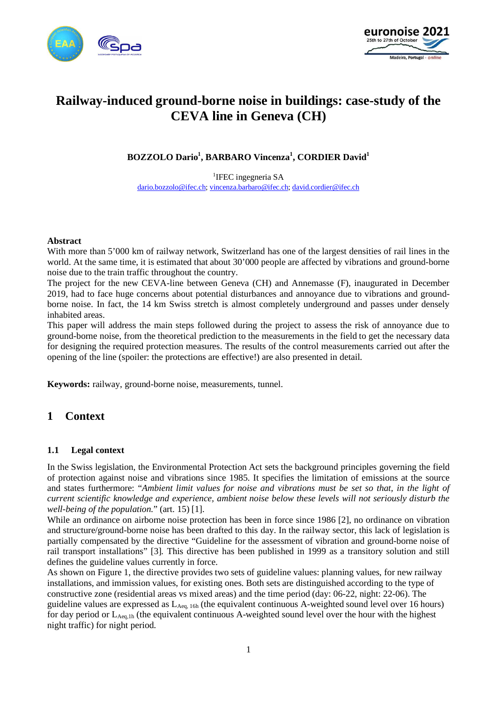



# **Railway-induced ground-borne noise in buildings: case-study of the CEVA line in Geneva (CH)**

**BOZZOLO Dario<sup>1</sup> , BARBARO Vincenza<sup>1</sup> , CORDIER David<sup>1</sup>**

<sup>1</sup>IFEC ingegneria SA [dario.bozzolo@ifec.ch](mailto:dario.bozzolo@ifec.ch); [vincenza.barbaro@ifec.ch](mailto:vincenza.barbaro@ifec.ch); [david.cordier@ifec.ch](mailto:david.cordier@ifec.ch)

#### **Abstract**

With more than 5'000 km of railway network, Switzerland has one of the largest densities of rail lines in the world. At the same time, it is estimated that about 30'000 people are affected by vibrations and ground-borne noise due to the train traffic throughout the country.

The project for the new CEVA-line between Geneva (CH) and Annemasse (F), inaugurated in December 2019, had to face huge concerns about potential disturbances and annoyance due to vibrations and groundborne noise. In fact, the 14 km Swiss stretch is almost completely underground and passes under densely inhabited areas.

This paper will address the main steps followed during the project to assess the risk of annoyance due to ground-borne noise, from the theoretical prediction to the measurements in the field to get the necessary data for designing the required protection measures. The results of the control measurements carried out after the opening of the line (spoiler: the protections are effective!) are also presented in detail.

**Keywords:** railway, ground-borne noise, measurements, tunnel.

## **1 Context**

### **1.1 Legal context**

In the Swiss legislation, the Environmental Protection Act sets the background principles governing the field of protection against noise and vibrations since 1985. It specifies the limitation of emissions at the source and states furthermore: "*Ambient limit values for noise and vibrations must be set so that, in the light of current scientific knowledge and experience, ambient noise below these levels will not seriously disturb the well-being of the population.*" (art. 15) [\[1\]](#page-9-0).

While an ordinance on airborne noise protection has been in force since 1986 [\[2\]](#page-9-1), no ordinance on vibration and structure/ground-borne noise has been drafted to this day. In the railway sector, this lack of legislation is partially compensated by the directive "Guideline for the assessment of vibration and ground-borne noise of rail transport installations" [\[3\]](#page-9-2). This directive has been published in 1999 as a transitory solution and still defines the guideline values currently in force.

As shown on [Figure 1,](#page-1-0) the directive provides two sets of guideline values: planning values, for new railway installations, and immission values, for existing ones. Both sets are distinguished according to the type of constructive zone (residential areas vs mixed areas) and the time period (day: 06-22, night: 22-06). The guideline values are expressed as LAeq, 16h (the equivalent continuous A-weighted sound level over 16 hours) for day period or  $L_{\text{Aeg,1h}}$  (the equivalent continuous A-weighted sound level over the hour with the highest night traffic) for night period.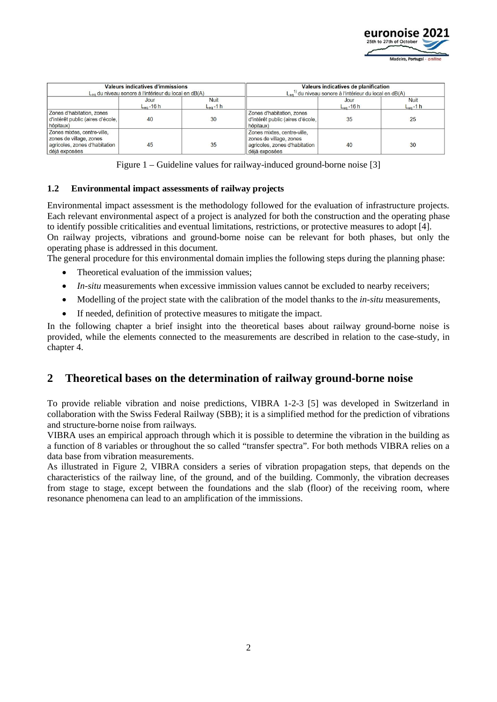

| <b>Valeurs indicatives d'immissions</b><br>L <sub>eg</sub> du niveau sonore à l'intérieur du local en dB(A) |                        |                              | Valeurs indicatives de planification<br>$L_{eq}$ <sup>1)</sup> du niveau sonore à l'intérieur du local en dB(A) |                             |                              |
|-------------------------------------------------------------------------------------------------------------|------------------------|------------------------------|-----------------------------------------------------------------------------------------------------------------|-----------------------------|------------------------------|
|                                                                                                             | Jour<br>$L_{eq}$ -16 h | <b>Nuit</b><br>$L_{eq}$ -1 h |                                                                                                                 | Jour<br>$L_{\rm{eq}}$ -16 h | <b>Nuit</b><br>$L_{eq}$ -1 h |
| Zones d'habitation, zones<br>d'intérêt public (aires d'école,<br>hôpitaux)                                  | 40                     | 30                           | Zones d'habitation, zones<br>d'intérêt public (aires d'école.<br>hôpitaux)                                      | 35                          | 25                           |
| Zones mixtes, centre-ville.<br>zones de village, zones<br>agricoles, zones d'habitation<br>déjà exposées    | 45                     | 35                           | Zones mixtes, centre-ville,<br>zones de village, zones<br>agricoles, zones d'habitation<br>déjà exposées        | 40                          | 30                           |

Figure 1 – Guideline values for railway-induced ground-borne noise [\[3\]](#page-9-2)

### <span id="page-1-0"></span>**1.2 Environmental impact assessments of railway projects**

Environmental impact assessment is the methodology followed for the evaluation of infrastructure projects. Each relevant environmental aspect of a project is analyzed for both the construction and the operating phase to identify possible criticalities and eventual limitations, restrictions, or protective measures to adopt [\[4\]](#page-9-3). On railway projects, vibrations and ground-borne noise can be relevant for both phases, but only the operating phase is addressed in this document.

The general procedure for this environmental domain implies the following steps during the planning phase:

- Theoretical evaluation of the immission values:
- *In-situ* measurements when excessive immission values cannot be excluded to nearby receivers;
- Modelling of the project state with the calibration of the model thanks to the *in-situ* measurements,
- If needed, definition of protective measures to mitigate the impact.

In the following chapter a brief insight into the theoretical bases about railway ground-borne noise is provided, while the elements connected to the measurements are described in relation to the case-study, in chapter [4](#page-4-0).

## **2 Theoretical bases on the determination of railway ground-borne noise**

To provide reliable vibration and noise predictions, VIBRA 1-2-3 [\[5\]](#page-9-4) was developed in Switzerland in collaboration with the Swiss Federal Railway (SBB); it is a simplified method for the prediction of vibrations and structure-borne noise from railways.

VIBRA uses an empirical approach through which it is possible to determine the vibration in the building as a function of 8 variables or throughout the so called "transfer spectra". For both methods VIBRA relies on a data base from vibration measurements.

As illustrated in [Figure 2](#page-2-0), VIBRA considers a series of vibration propagation steps, that depends on the characteristics of the railway line, of the ground, and of the building. Commonly, the vibration decreases from stage to stage, except between the foundations and the slab (floor) of the receiving room, where resonance phenomena can lead to an amplification of the immissions.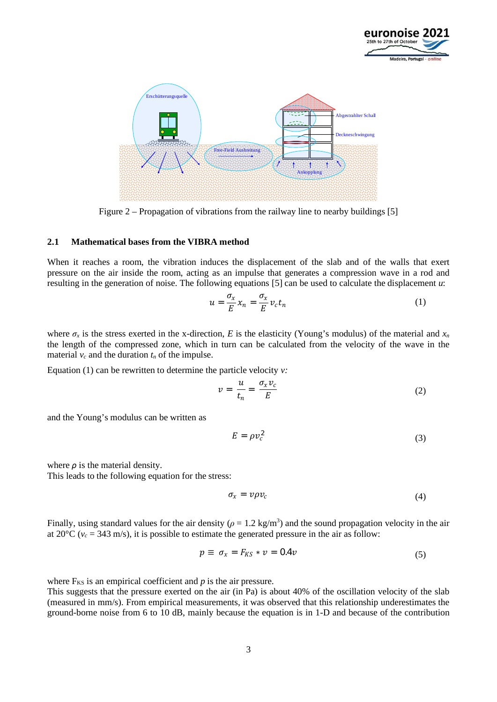



<span id="page-2-1"></span>Figure 2 – Propagation of vibrations from the railway line to nearby buildings [\[5\]](#page-9-4)

### <span id="page-2-2"></span><span id="page-2-0"></span>**2.1 Mathematical bases from the VIBRA method**

When it reaches a room, the vibration induces the displacement of the slab and of the walls that exert pressure on the air inside the room, acting as an impulse that generates a compression wave in a rod and resulting in the generation of noise. The following equations [\[5\]](#page-9-4) can be used to calculate the displacement *u*:

$$
u = \frac{\sigma_x}{E} x_n = \frac{\sigma_x}{E} v_c t_n \tag{1}
$$

where  $\sigma_x$  is the stress exerted in the x-direction, *E* is the elasticity (Young's modulus) of the material and  $x_n$ the length of the compressed zone, which in turn can be calculated from the velocity of the wave in the material  $v_c$  and the duration  $t_n$  of the impulse.

Equation (1) can be rewritten to determine the particle velocity *v:*

$$
v = \frac{u}{t_n} = \frac{\sigma_x v_c}{E} \tag{2}
$$

and the Young's modulus can be written as

$$
E = \rho v_c^2 \tag{3}
$$

where  $\rho$  is the material density. This leads to the following equation for the stress:

$$
\sigma_x = \nu \rho \nu_c \tag{4}
$$

Finally, using standard values for the air density  $(\rho = 1.2 \text{ kg/m}^3)$  and the sound propagation velocity in the air at 20 $\degree$ C ( $v_c$  = 343 m/s), it is possible to estimate the generated pressure in the air as follow:

$$
p \equiv \sigma_x = F_{KS} * v = 0.4v \tag{5}
$$

where  $F_{KS}$  is an empirical coefficient and  $p$  is the air pressure.

This suggests that the pressure exerted on the air (in Pa) is about 40% of the oscillation velocity of the slab (measured in mm/s). From empirical measurements, it was observed that this relationship underestimates the ground-borne noise from 6 to 10 dB, mainly because the equation is in 1-D and because of the contribution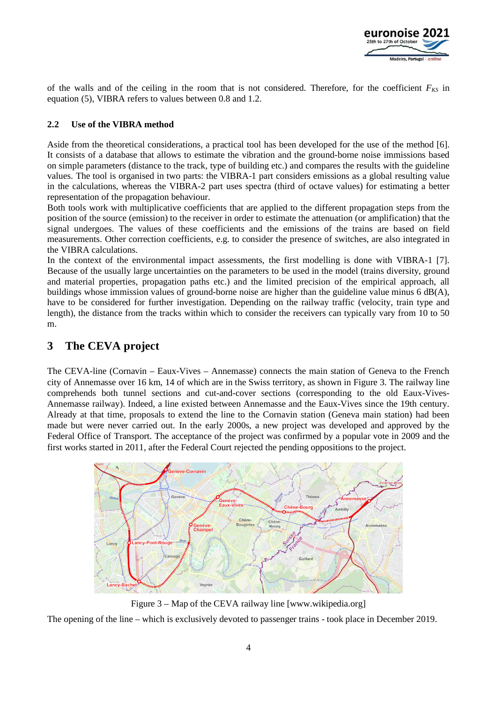

of the walls and of the ceiling in the room that is not considered. Therefore, for the coefficient  $F_{K}$  in equation (5), VIBRA refers to values between 0.8 and 1.2.

### **2.2 Use of the VIBRA method**

Aside from the theoretical considerations, a practical tool has been developed for the use of the method [\[6\]](#page-9-5). It consists of a database that allows to estimate the vibration and the ground-borne noise immissions based on simple parameters (distance to the track, type of building etc.) and compares the results with the guideline values. The tool is organised in two parts: the VIBRA-1 part considers emissions as a global resulting value in the calculations, whereas the VIBRA-2 part uses spectra (third of octave values) for estimating a better representation of the propagation behaviour.

Both tools work with multiplicative coefficients that are applied to the different propagation steps from the position of the source (emission) to the receiver in order to estimate the attenuation (or amplification) that the signal undergoes. The values of these coefficients and the emissions of the trains are based on field measurements. Other correction coefficients, e.g. to consider the presence of switches, are also integrated in the VIBRA calculations.

In the context of the environmental impact assessments, the first modelling is done with VIBRA-1 [\[7\].](#page-9-6) Because of the usually large uncertainties on the parameters to be used in the model (trains diversity, ground and material properties, propagation paths etc.) and the limited precision of the empirical approach, all buildings whose immission values of ground-borne noise are higher than the guideline value minus 6  $dB(A)$ , have to be considered for further investigation. Depending on the railway traffic (velocity, train type and length), the distance from the tracks within which to consider the receivers can typically vary from 10 to 50 m.

## **3 The CEVA project**

The CEVA-line (Cornavin – Eaux-Vives – Annemasse) connects the main station of Geneva to the French city of Annemasse over 16 km, 14 of which are in the Swiss territory, as shown in [Figure 3](#page-3-0). The railway line comprehends both tunnel sections and cut-and-cover sections (corresponding to the old Eaux-Vives-Annemasse railway). Indeed, a line existed between Annemasse and the Eaux-Vives since the 19th century. Already at that time, proposals to extend the line to the Cornavin station (Geneva main station) had been made but were never carried out. In the early 2000s, a new project was developed and approved by the Federal Office of Transport. The acceptance of the project was confirmed by a popular vote in 2009 and the first works started in 2011, after the Federal Court rejected the pending oppositions to the project.



Figure 3 – Map of the CEVA railway line [www.wikipedia.org]

<span id="page-3-0"></span>The opening of the line – which is exclusively devoted to passenger trains - took place in December 2019.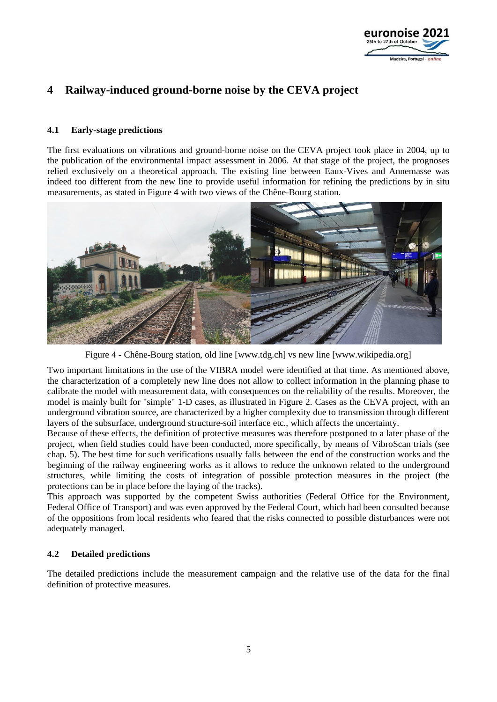

## <span id="page-4-0"></span>**4 Railway-induced ground-borne noise by the CEVA project**

### **4.1 Early-stage predictions**

The first evaluations on vibrations and ground-borne noise on the CEVA project took place in 2004, up to the publication of the environmental impact assessment in 2006. At that stage of the project, the prognoses relied exclusively on a theoretical approach. The existing line between Eaux-Vives and Annemasse was indeed too different from the new line to provide useful information for refining the predictions by in situ measurements, as stated in [Figure 4](#page-4-1) with two views of the Chêne-Bourg station.



Figure 4 - Chêne-Bourg station, old line [www.tdg.ch] vs new line [www.wikipedia.org]

<span id="page-4-1"></span>Two important limitations in the use of the VIBRA model were identified at that time. As mentioned above, the characterization of a completely new line does not allow to collect information in the planning phase to calibrate the model with measurement data, with consequences on the reliability of the results. Moreover, the model is mainly built for "simple" 1-D cases, as illustrated in [Figure 2](#page-2-1). Cases as the CEVA project, with an underground vibration source, are characterized by a higher complexity due to transmission through different layers of the subsurface, underground structure-soil interface etc., which affects the uncertainty.

Because of these effects, the definition of protective measures was therefore postponed to a later phase of the project, when field studies could have been conducted, more specifically, by means of VibroScan trials (see chap. [5](#page-5-0)). The best time for such verifications usually falls between the end of the construction works and the beginning of the railway engineering works as it allows to reduce the unknown related to the underground structures, while limiting the costs of integration of possible protection measures in the project (the protections can be in place before the laying of the tracks).

This approach was supported by the competent Swiss authorities (Federal Office for the Environment, Federal Office of Transport) and was even approved by the Federal Court, which had been consulted because of the oppositions from local residents who feared that the risks connected to possible disturbances were not adequately managed.

### **4.2 Detailed predictions**

The detailed predictions include the measurement campaign and the relative use of the data for the final definition of protective measures.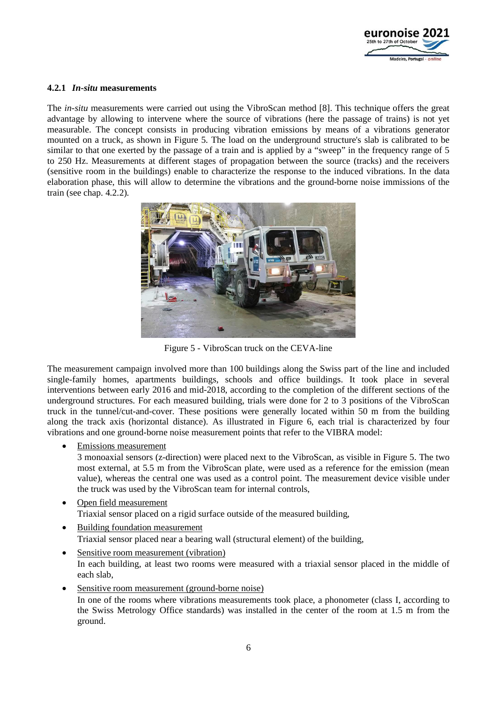

### **4.2.1** *In-situ* **measurements**

The *in-situ* measurements were carried out using the VibroScan method [\[8\]](#page-9-7). This technique offers the great advantage by allowing to intervene where the source of vibrations (here the passage of trains) is not yet measurable. The concept consists in producing vibration emissions by means of a vibrations generator mounted on a truck, as shown in [Figure 5](#page-5-1). The load on the underground structure's slab is calibrated to be similar to that one exerted by the passage of a train and is applied by a "sweep" in the frequency range of 5 to 250 Hz. Measurements at different stages of propagation between the source (tracks) and the receivers (sensitive room in the buildings) enable to characterize the response to the induced vibrations. In the data elaboration phase, this will allow to determine the vibrations and the ground-borne noise immissions of the train (see chap. [4.2.2](#page-6-0)).



Figure 5 - VibroScan truck on the CEVA-line

<span id="page-5-2"></span><span id="page-5-1"></span>The measurement campaign involved more than 100 buildings along the Swiss part of the line and included single-family homes, apartments buildings, schools and office buildings. It took place in several interventions between early 2016 and mid-2018, according to the completion of the different sections of the underground structures. For each measured building, trials were done for 2 to 3 positions of the VibroScan truck in the tunnel/cut-and-cover. These positions were generally located within 50 m from the building along the track axis (horizontal distance). As illustrated in [Figure 6](#page-6-1), each trial is characterized by four vibrations and one ground-borne noise measurement points that refer to the VIBRA model:

Emissions measurement

3 monoaxial sensors (z-direction) were placed next to the VibroScan, as visible in [Figure 5](#page-5-2). The two most external, at 5.5 m from the VibroScan plate, were used as a reference for the emission (mean value), whereas the central one was used as a control point. The measurement device visible under the truck was used by the VibroScan team for internal controls,

- Open field measurement Triaxial sensor placed on a rigid surface outside of the measured building,
- Building foundation measurement Triaxial sensor placed near a bearing wall (structural element) of the building,
- <span id="page-5-0"></span>• Sensitive room measurement (vibration) In each building, at least two rooms were measured with a triaxial sensor placed in the middle of each slab,
- Sensitive room measurement (ground-borne noise) In one of the rooms where vibrations measurements took place, a phonometer (class I, according to the Swiss Metrology Office standards) was installed in the center of the room at 1.5 m from the ground.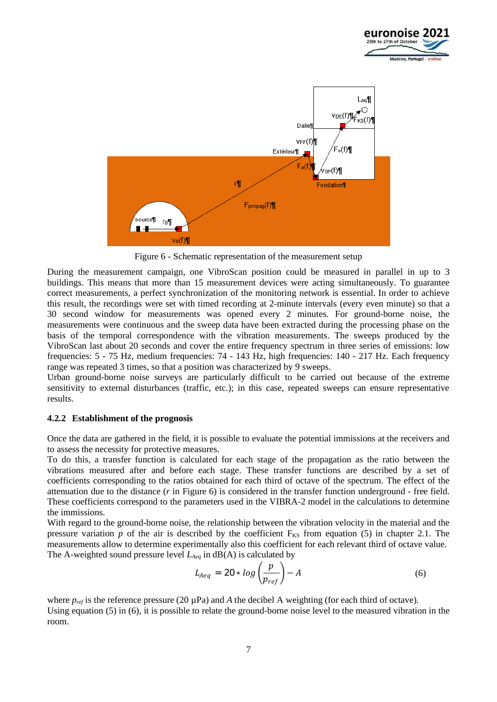



<span id="page-6-2"></span>Figure 6 - Schematic representation of the measurement setup

<span id="page-6-1"></span>During the measurement campaign, one VibroScan position could be measured in parallel in up to 3 buildings. This means that more than 15 measurement devices were acting simultaneously. To guarantee correct measurements, a perfect synchronization of the monitoring network is essential. In order to achieve this result, the recordings were set with timed recording at 2-minute intervals (every even minute) so that a 30 second window for measurements was opened every 2 minutes. For ground-borne noise, the measurements were continuous and the sweep data have been extracted during the processing phase on the basis of the temporal correspondence with the vibration measurements. The sweeps produced by the VibroScan last about 20 seconds and cover the entire frequency spectrum in three series of emissions: low frequencies: 5 - 75 Hz, medium frequencies: 74 - 143 Hz, high frequencies: 140 - 217 Hz. Each frequency range was repeated 3 times, so that a position was characterized by 9 sweeps.

Urban ground-borne noise surveys are particularly difficult to be carried out because of the extreme sensitivity to external disturbances (traffic, etc.); in this case, repeated sweeps can ensure representative results.

### <span id="page-6-0"></span>**4.2.2 Establishment of the prognosis**

Once the data are gathered in the field, it is possible to evaluate the potential immissions at the receivers and to assess the necessity for protective measures.

To do this, a transfer function is calculated for each stage of the propagation as the ratio between the vibrations measured after and before each stage. These transfer functions are described by a set of coefficients corresponding to the ratios obtained for each third of octave of the spectrum. The effect of the attenuation due to the distance (*r* in [Figure 6](#page-6-2)) is considered in the transfer function underground - free field. These coefficients correspond to the parameters used in the VIBRA-2 model in the calculations to determine the immissions.

With regard to the ground-borne noise, the relationship between the vibration velocity in the material and the pressure variation  $p$  of the air is described by the coefficient  $F_{KS}$  from equation (5) in chapter [2.1.](#page-2-2) The measurements allow to determine experimentally also this coefficient for each relevant third of octave value. The A-weighted sound pressure level *LAeq* in dB(A) is calculated by

$$
L_{Aeq} = 20 * log\left(\frac{p}{p_{ref}}\right) - A \tag{6}
$$

where  $p_{ref}$  is the reference pressure (20  $\mu$ Pa) and *A* the decibel A weighting (for each third of octave). Using equation (5) in (6), it is possible to relate the ground-borne noise level to the measured vibration in the room.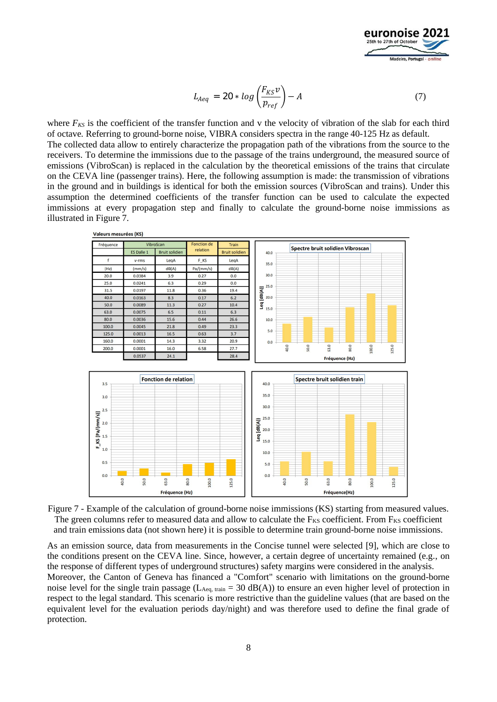

$$
L_{Aeq} = 20 * log\left(\frac{F_{KS}v}{p_{ref}}\right) - A \tag{7}
$$

where  $F_{KS}$  is the coefficient of the transfer function and v the velocity of vibration of the slab for each third of octave. Referring to ground-borne noise, VIBRA considers spectra in the range 40-125 Hz as default. The collected data allow to entirely characterize the propagation path of the vibrations from the source to the receivers. To determine the immissions due to the passage of the trains underground, the measured source of emissions (VibroScan) is replaced in the calculation by the theoretical emissions of the trains that circulate on the CEVA line (passenger trains). Here, the following assumption is made: the transmission of vibrations in the ground and in buildings is identical for both the emission sources (VibroScan and trains). Under this assumption the determined coefficients of the transfer function can be used to calculate the expected immissions at every propagation step and finally to calculate the ground-borne noise immissions as illustrated in [Figure 7](#page-7-0).



<span id="page-7-0"></span>Figure 7 - Example of the calculation of ground-borne noise immissions (KS) starting from measured values. The green columns refer to measured data and allow to calculate the  $F_{KS}$  coefficient. From  $F_{KS}$  coefficient and train emissions data (not shown here) it is possible to determine train ground-borne noise immissions.

As an emission source, data from measurements in the Concise tunnel were selected [\[9\]](#page-9-8), which are close to the conditions present on the CEVA line. Since, however, a certain degree of uncertainty remained (e.g., on the response of different types of underground structures) safety margins were considered in the analysis. Moreover, the Canton of Geneva has financed a "Comfort" scenario with limitations on the ground-borne noise level for the single train passage ( $L_{\text{Aeq, train}} = 30 \text{ dB}(A)$ ) to ensure an even higher level of protection in respect to the legal standard. This scenario is more restrictive than the guideline values (that are based on the equivalent level for the evaluation periods day/night) and was therefore used to define the final grade of protection.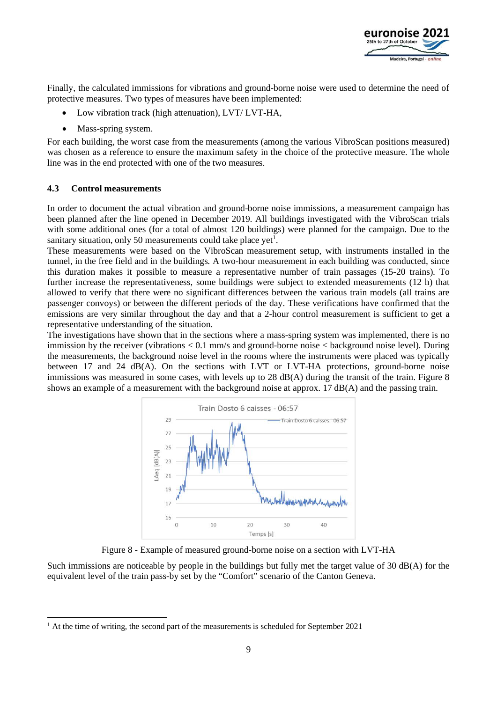

Finally, the calculated immissions for vibrations and ground-borne noise were used to determine the need of protective measures. Two types of measures have been implemented:

- Low vibration track (high attenuation), LVT/ LVT-HA,
- Mass-spring system.

For each building, the worst case from the measurements (among the various VibroScan positions measured) was chosen as a reference to ensure the maximum safety in the choice of the protective measure. The whole line was in the end protected with one of the two measures.

#### **4.3 Control measurements**

In order to document the actual vibration and ground-borne noise immissions, a measurement campaign has been planned after the line opened in December 2019. All buildings investigated with the VibroScan trials with some additional ones (for a total of almost 120 buildings) were planned for the campaign. Due to the sanitary situation, only 50 measurements could take place yet<sup>[1](#page-8-1)</sup>.

These measurements were based on the VibroScan measurement setup, with instruments installed in the tunnel, in the free field and in the buildings. A two-hour measurement in each building was conducted, since this duration makes it possible to measure a representative number of train passages (15-20 trains). To further increase the representativeness, some buildings were subject to extended measurements (12 h) that allowed to verify that there were no significant differences between the various train models (all trains are passenger convoys) or between the different periods of the day. These verifications have confirmed that the emissions are very similar throughout the day and that a 2-hour control measurement is sufficient to get a representative understanding of the situation.

The investigations have shown that in the sections where a mass-spring system was implemented, there is no immission by the receiver (vibrations < 0.1 mm/s and ground-borne noise < background noise level). During the measurements, the background noise level in the rooms where the instruments were placed was typically between 17 and 24 dB(A). On the sections with LVT or LVT-HA protections, ground-borne noise immissions was measured in some cases, with levels up to 28 dB(A) during the transit of the train. [Figure 8](#page-8-0) shows an example of a measurement with the background noise at approx. 17 dB(A) and the passing train.



Figure 8 - Example of measured ground-borne noise on a section with LVT-HA

<span id="page-8-0"></span>Such immissions are noticeable by people in the buildings but fully met the target value of 30 dB(A) for the equivalent level of the train pass-by set by the "Comfort" scenario of the Canton Geneva.

<span id="page-8-1"></span> $<sup>1</sup>$  At the time of writing, the second part of the measurements is scheduled for September 2021</sup>